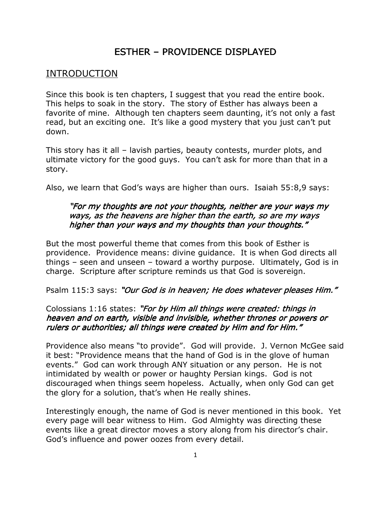# ESTHER – PROVIDENCE DISPLAYED

## INTRODUCTION

Since this book is ten chapters, I suggest that you read the entire book. This helps to soak in the story. The story of Esther has always been a favorite of mine. Although ten chapters seem daunting, it's not only a fast read, but an exciting one. It's like a good mystery that you just can't put down.

This story has it all – lavish parties, beauty contests, murder plots, and ultimate victory for the good guys. You can't ask for more than that in a story.

Also, we learn that God's ways are higher than ours. Isaiah 55:8,9 says:

## "For my thoughts are not your thoughts, neither are your ways my ways, as the heavens are higher than the earth, so are my ways higher than your ways and my thoughts than your thoughts."

But the most powerful theme that comes from this book of Esther is providence. Providence means: divine guidance. It is when God directs all things – seen and unseen – toward a worthy purpose. Ultimately, God is in charge. Scripture after scripture reminds us that God is sovereign.

Psalm 115:3 says: "Our God is in heaven; He does whatever pleases Him."

## Colossians 1:16 states: "For by Him all things were created: things in heaven and on earth, visible and invisible, whether thrones or powers or rulers or authorities; all things were created by Him and for Him."

Providence also means "to provide". God will provide. J. Vernon McGee said it best: "Providence means that the hand of God is in the glove of human events." God can work through ANY situation or any person. He is not intimidated by wealth or power or haughty Persian kings. God is not discouraged when things seem hopeless. Actually, when only God can get the glory for a solution, that's when He really shines.

Interestingly enough, the name of God is never mentioned in this book. Yet every page will bear witness to Him. God Almighty was directing these events like a great director moves a story along from his director's chair. God's influence and power oozes from every detail.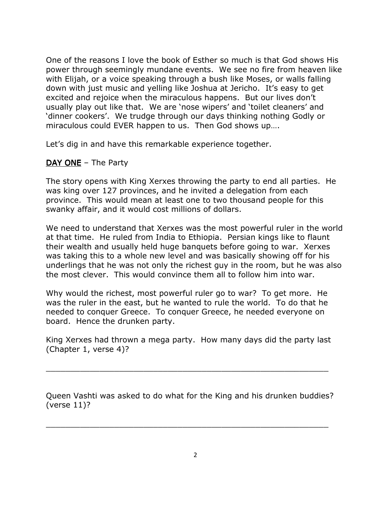One of the reasons I love the book of Esther so much is that God shows His power through seemingly mundane events. We see no fire from heaven like with Elijah, or a voice speaking through a bush like Moses, or walls falling down with just music and yelling like Joshua at Jericho. It's easy to get excited and rejoice when the miraculous happens. But our lives don't usually play out like that. We are 'nose wipers' and 'toilet cleaners' and 'dinner cookers'. We trudge through our days thinking nothing Godly or miraculous could EVER happen to us. Then God shows up….

Let's dig in and have this remarkable experience together.

## $DAY$  ONE – The Party

The story opens with King Xerxes throwing the party to end all parties. He was king over 127 provinces, and he invited a delegation from each province. This would mean at least one to two thousand people for this swanky affair, and it would cost millions of dollars.

We need to understand that Xerxes was the most powerful ruler in the world at that time. He ruled from India to Ethiopia. Persian kings like to flaunt their wealth and usually held huge banquets before going to war. Xerxes was taking this to a whole new level and was basically showing off for his underlings that he was not only the richest guy in the room, but he was also the most clever. This would convince them all to follow him into war.

Why would the richest, most powerful ruler go to war? To get more. He was the ruler in the east, but he wanted to rule the world. To do that he needed to conquer Greece. To conquer Greece, he needed everyone on board. Hence the drunken party.

King Xerxes had thrown a mega party. How many days did the party last (Chapter 1, verse 4)?

\_\_\_\_\_\_\_\_\_\_\_\_\_\_\_\_\_\_\_\_\_\_\_\_\_\_\_\_\_\_\_\_\_\_\_\_\_\_\_\_\_\_\_\_\_\_\_\_\_\_\_\_\_\_\_\_\_\_

Queen Vashti was asked to do what for the King and his drunken buddies? (verse 11)?

\_\_\_\_\_\_\_\_\_\_\_\_\_\_\_\_\_\_\_\_\_\_\_\_\_\_\_\_\_\_\_\_\_\_\_\_\_\_\_\_\_\_\_\_\_\_\_\_\_\_\_\_\_\_\_\_\_\_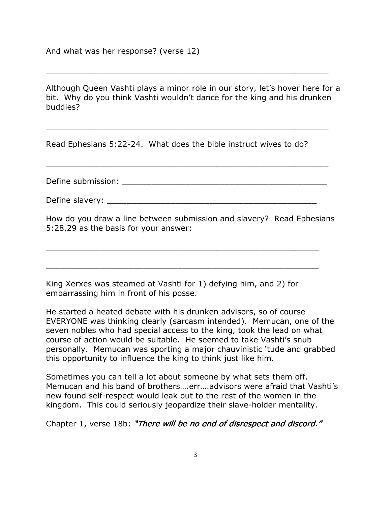Although Queen Vashti plays a minor role in our story, let's hover here for a bit. Why do you think Vashti wouldn't dance for the king and his drunken buddies?

\_\_\_\_\_\_\_\_\_\_\_\_\_\_\_\_\_\_\_\_\_\_\_\_\_\_\_\_\_\_\_\_\_\_\_\_\_\_\_\_\_\_\_\_\_\_\_\_\_\_\_\_\_\_\_\_\_\_

\_\_\_\_\_\_\_\_\_\_\_\_\_\_\_\_\_\_\_\_\_\_\_\_\_\_\_\_\_\_\_\_\_\_\_\_\_\_\_\_\_\_\_\_\_\_\_\_\_\_\_\_\_\_\_\_\_\_

Read Ephesians 5:22-24. What does the bible instruct wives to do?

Define submission:  $\Box$ 

\_\_\_\_\_\_\_\_\_\_\_\_\_\_\_\_\_\_\_\_\_\_\_\_\_\_\_\_\_\_\_\_\_\_\_\_\_\_\_\_\_\_\_\_\_\_\_\_\_\_\_\_\_\_\_\_\_\_

Define slavery:  $\Box$ 

\_\_\_\_\_\_\_\_\_\_\_\_\_\_\_\_\_\_\_\_\_\_\_\_\_\_\_\_\_\_\_\_\_\_\_\_\_\_\_\_\_\_\_\_\_\_\_\_\_\_\_\_\_\_\_\_

\_\_\_\_\_\_\_\_\_\_\_\_\_\_\_\_\_\_\_\_\_\_\_\_\_\_\_\_\_\_\_\_\_\_\_\_\_\_\_\_\_\_\_\_\_\_\_\_\_\_\_\_\_\_\_\_

How do you draw a line between submission and slavery? Read Ephesians 5:28,29 as the basis for your answer:

King Xerxes was steamed at Vashti for 1) defying him, and 2) for embarrassing him in front of his posse.

He started a heated debate with his drunken advisors, so of course EVERYONE was thinking clearly (sarcasm intended). Memucan, one of the seven nobles who had special access to the king, took the lead on what course of action would be suitable. He seemed to take Vashti's snub personally. Memucan was sporting a major chauvinistic 'tude and grabbed this opportunity to influence the king to think just like him.

Sometimes you can tell a lot about someone by what sets them off. Memucan and his band of brothers….err….advisors were afraid that Vashti's new found self-respect would leak out to the rest of the women in the kingdom. This could seriously jeopardize their slave-holder mentality.

Chapter 1, verse 18b: "There will be no end of disrespect and discord."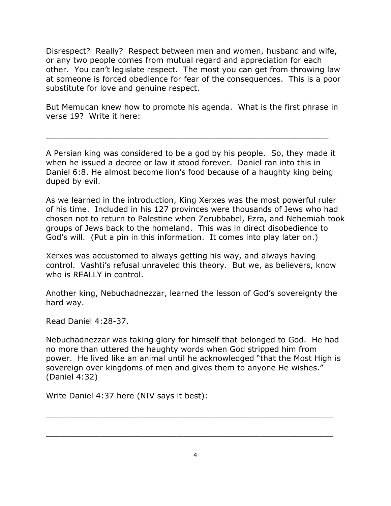Disrespect? Really? Respect between men and women, husband and wife, or any two people comes from mutual regard and appreciation for each other. You can't legislate respect. The most you can get from throwing law at someone is forced obedience for fear of the consequences. This is a poor substitute for love and genuine respect.

But Memucan knew how to promote his agenda. What is the first phrase in verse 19? Write it here:

\_\_\_\_\_\_\_\_\_\_\_\_\_\_\_\_\_\_\_\_\_\_\_\_\_\_\_\_\_\_\_\_\_\_\_\_\_\_\_\_\_\_\_\_\_\_\_\_\_\_\_\_\_\_\_\_\_\_

A Persian king was considered to be a god by his people. So, they made it when he issued a decree or law it stood forever. Daniel ran into this in Daniel 6:8. He almost become lion's food because of a haughty king being duped by evil.

As we learned in the introduction, King Xerxes was the most powerful ruler of his time. Included in his 127 provinces were thousands of Jews who had chosen not to return to Palestine when Zerubbabel, Ezra, and Nehemiah took groups of Jews back to the homeland. This was in direct disobedience to God's will. (Put a pin in this information. It comes into play later on.)

Xerxes was accustomed to always getting his way, and always having control. Vashti's refusal unraveled this theory. But we, as believers, know who is REALLY in control.

Another king, Nebuchadnezzar, learned the lesson of God's sovereignty the hard way.

Read Daniel 4:28-37.

Nebuchadnezzar was taking glory for himself that belonged to God. He had no more than uttered the haughty words when God stripped him from power. He lived like an animal until he acknowledged "that the Most High is sovereign over kingdoms of men and gives them to anyone He wishes." (Daniel 4:32)

Write Daniel 4:37 here (NIV says it best):

 $\_$  , and the set of the set of the set of the set of the set of the set of the set of the set of the set of the set of the set of the set of the set of the set of the set of the set of the set of the set of the set of th

 $\_$  , and the set of the set of the set of the set of the set of the set of the set of the set of the set of the set of the set of the set of the set of the set of the set of the set of the set of the set of the set of th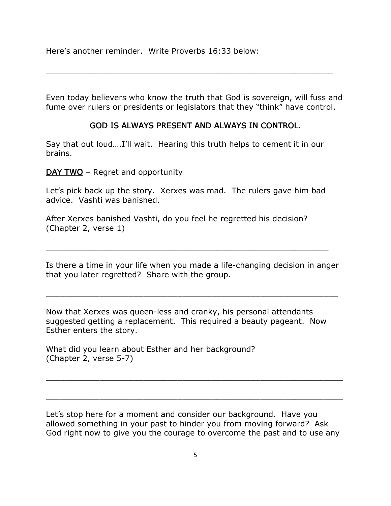Here's another reminder. Write Proverbs 16:33 below:

Even today believers who know the truth that God is sovereign, will fuss and fume over rulers or presidents or legislators that they "think" have control.

 $\_$  , and the set of the set of the set of the set of the set of the set of the set of the set of the set of the set of the set of the set of the set of the set of the set of the set of the set of the set of the set of th

#### GOD IS ALWAYS PRESENT AND ALWAYS IN CONTROL.

Say that out loud….I'll wait. Hearing this truth helps to cement it in our brains.

 $DAY$  TWO – Regret and opportunity

Let's pick back up the story. Xerxes was mad. The rulers gave him bad advice. Vashti was banished.

After Xerxes banished Vashti, do you feel he regretted his decision? (Chapter 2, verse 1)

Is there a time in your life when you made a life-changing decision in anger that you later regretted? Share with the group.

\_\_\_\_\_\_\_\_\_\_\_\_\_\_\_\_\_\_\_\_\_\_\_\_\_\_\_\_\_\_\_\_\_\_\_\_\_\_\_\_\_\_\_\_\_\_\_\_\_\_\_\_\_\_\_\_\_\_\_\_

\_\_\_\_\_\_\_\_\_\_\_\_\_\_\_\_\_\_\_\_\_\_\_\_\_\_\_\_\_\_\_\_\_\_\_\_\_\_\_\_\_\_\_\_\_\_\_\_\_\_\_\_\_\_\_\_\_\_

Now that Xerxes was queen-less and cranky, his personal attendants suggested getting a replacement. This required a beauty pageant. Now Esther enters the story.

What did you learn about Esther and her background? (Chapter 2, verse 5-7)

Let's stop here for a moment and consider our background. Have you allowed something in your past to hinder you from moving forward? Ask God right now to give you the courage to overcome the past and to use any

\_\_\_\_\_\_\_\_\_\_\_\_\_\_\_\_\_\_\_\_\_\_\_\_\_\_\_\_\_\_\_\_\_\_\_\_\_\_\_\_\_\_\_\_\_\_\_\_\_\_\_\_\_\_\_\_\_\_\_\_\_

 $\_$  , and the set of the set of the set of the set of the set of the set of the set of the set of the set of the set of the set of the set of the set of the set of the set of the set of the set of the set of the set of th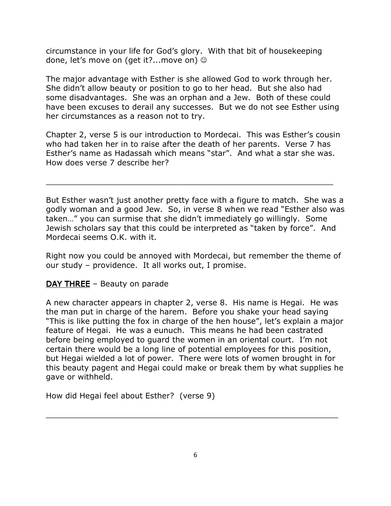circumstance in your life for God's glory. With that bit of housekeeping done, let's move on (get it?...move on)  $\odot$ 

The major advantage with Esther is she allowed God to work through her. She didn't allow beauty or position to go to her head. But she also had some disadvantages. She was an orphan and a Jew. Both of these could have been excuses to derail any successes. But we do not see Esther using her circumstances as a reason not to try.

Chapter 2, verse 5 is our introduction to Mordecai. This was Esther's cousin who had taken her in to raise after the death of her parents. Verse 7 has Esther's name as Hadassah which means "star". And what a star she was. How does verse 7 describe her?

 $\_$  , and the set of the set of the set of the set of the set of the set of the set of the set of the set of the set of the set of the set of the set of the set of the set of the set of the set of the set of the set of th

But Esther wasn't just another pretty face with a figure to match. She was a godly woman and a good Jew. So, in verse 8 when we read "Esther also was taken…" you can surmise that she didn't immediately go willingly. Some Jewish scholars say that this could be interpreted as "taken by force". And Mordecai seems O.K. with it.

Right now you could be annoyed with Mordecai, but remember the theme of our study – providence. It all works out, I promise.

## **THREE – Beauty on parade**

A new character appears in chapter 2, verse 8. His name is Hegai. He was the man put in charge of the harem. Before you shake your head saying "This is like putting the fox in charge of the hen house", let's explain a major feature of Hegai. He was a eunuch. This means he had been castrated before being employed to guard the women in an oriental court. I'm not certain there would be a long line of potential employees for this position, but Hegai wielded a lot of power. There were lots of women brought in for this beauty pagent and Hegai could make or break them by what supplies he gave or withheld.

How did Hegai feel about Esther? (verse 9)

\_\_\_\_\_\_\_\_\_\_\_\_\_\_\_\_\_\_\_\_\_\_\_\_\_\_\_\_\_\_\_\_\_\_\_\_\_\_\_\_\_\_\_\_\_\_\_\_\_\_\_\_\_\_\_\_\_\_\_\_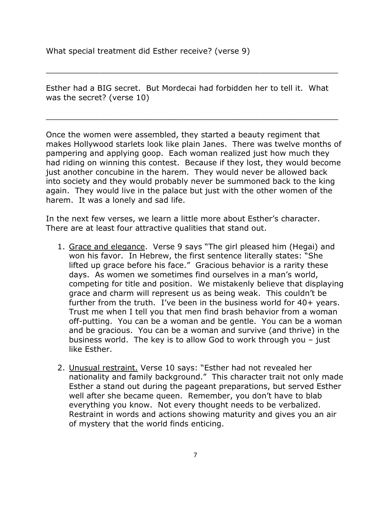What special treatment did Esther receive? (verse 9)

Esther had a BIG secret. But Mordecai had forbidden her to tell it. What was the secret? (verse 10)

\_\_\_\_\_\_\_\_\_\_\_\_\_\_\_\_\_\_\_\_\_\_\_\_\_\_\_\_\_\_\_\_\_\_\_\_\_\_\_\_\_\_\_\_\_\_\_\_\_\_\_\_\_\_\_\_\_\_\_\_

\_\_\_\_\_\_\_\_\_\_\_\_\_\_\_\_\_\_\_\_\_\_\_\_\_\_\_\_\_\_\_\_\_\_\_\_\_\_\_\_\_\_\_\_\_\_\_\_\_\_\_\_\_\_\_\_\_\_\_\_

Once the women were assembled, they started a beauty regiment that makes Hollywood starlets look like plain Janes. There was twelve months of pampering and applying goop. Each woman realized just how much they had riding on winning this contest. Because if they lost, they would become just another concubine in the harem. They would never be allowed back into society and they would probably never be summoned back to the king again. They would live in the palace but just with the other women of the harem. It was a lonely and sad life.

In the next few verses, we learn a little more about Esther's character. There are at least four attractive qualities that stand out.

- 1. Grace and elegance. Verse 9 says "The girl pleased him (Hegai) and won his favor. In Hebrew, the first sentence literally states: "She lifted up grace before his face." Gracious behavior is a rarity these days. As women we sometimes find ourselves in a man's world, competing for title and position. We mistakenly believe that displaying grace and charm will represent us as being weak. This couldn't be further from the truth. I've been in the business world for 40+ years. Trust me when I tell you that men find brash behavior from a woman off-putting. You can be a woman and be gentle. You can be a woman and be gracious. You can be a woman and survive (and thrive) in the business world. The key is to allow God to work through you – just like Esther.
- 2. Unusual restraint. Verse 10 says: "Esther had not revealed her nationality and family background." This character trait not only made Esther a stand out during the pageant preparations, but served Esther well after she became queen. Remember, you don't have to blab everything you know. Not every thought needs to be verbalized. Restraint in words and actions showing maturity and gives you an air of mystery that the world finds enticing.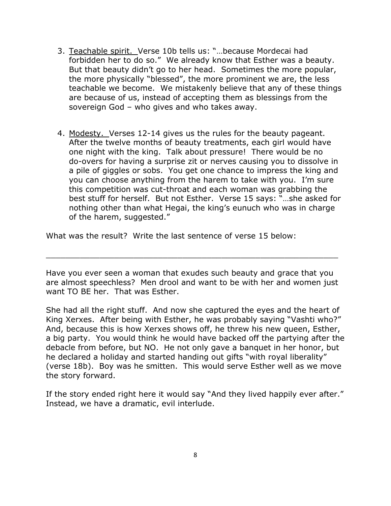- 3. Teachable spirit. Verse 10b tells us: "…because Mordecai had forbidden her to do so." We already know that Esther was a beauty. But that beauty didn't go to her head. Sometimes the more popular, the more physically "blessed", the more prominent we are, the less teachable we become. We mistakenly believe that any of these things are because of us, instead of accepting them as blessings from the sovereign God – who gives and who takes away.
- 4. Modesty. Verses 12-14 gives us the rules for the beauty pageant. After the twelve months of beauty treatments, each girl would have one night with the king. Talk about pressure! There would be no do-overs for having a surprise zit or nerves causing you to dissolve in a pile of giggles or sobs. You get one chance to impress the king and you can choose anything from the harem to take with you. I'm sure this competition was cut-throat and each woman was grabbing the best stuff for herself. But not Esther. Verse 15 says: "…she asked for nothing other than what Hegai, the king's eunuch who was in charge of the harem, suggested."

What was the result? Write the last sentence of verse 15 below:

Have you ever seen a woman that exudes such beauty and grace that you are almost speechless? Men drool and want to be with her and women just want TO BE her. That was Esther.

\_\_\_\_\_\_\_\_\_\_\_\_\_\_\_\_\_\_\_\_\_\_\_\_\_\_\_\_\_\_\_\_\_\_\_\_\_\_\_\_\_\_\_\_\_\_\_\_\_\_\_\_\_\_\_\_\_\_\_\_

She had all the right stuff. And now she captured the eyes and the heart of King Xerxes. After being with Esther, he was probably saying "Vashti who?" And, because this is how Xerxes shows off, he threw his new queen, Esther, a big party. You would think he would have backed off the partying after the debacle from before, but NO. He not only gave a banquet in her honor, but he declared a holiday and started handing out gifts "with royal liberality" (verse 18b). Boy was he smitten. This would serve Esther well as we move the story forward.

If the story ended right here it would say "And they lived happily ever after." Instead, we have a dramatic, evil interlude.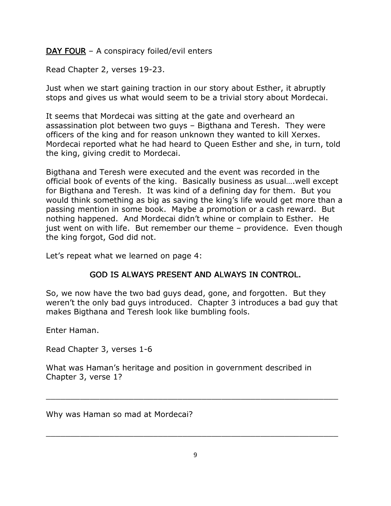$$ 

Read Chapter 2, verses 19-23.

Just when we start gaining traction in our story about Esther, it abruptly stops and gives us what would seem to be a trivial story about Mordecai.

It seems that Mordecai was sitting at the gate and overheard an assassination plot between two guys – Bigthana and Teresh. They were officers of the king and for reason unknown they wanted to kill Xerxes. Mordecai reported what he had heard to Queen Esther and she, in turn, told the king, giving credit to Mordecai.

Bigthana and Teresh were executed and the event was recorded in the official book of events of the king. Basically business as usual….well except for Bigthana and Teresh. It was kind of a defining day for them. But you would think something as big as saving the king's life would get more than a passing mention in some book. Maybe a promotion or a cash reward. But nothing happened. And Mordecai didn't whine or complain to Esther. He just went on with life. But remember our theme – providence. Even though the king forgot, God did not.

Let's repeat what we learned on page 4:

## GOD IS ALWAYS PRESENT AND ALWAYS IN CONTROL.

So, we now have the two bad guys dead, gone, and forgotten. But they weren't the only bad guys introduced. Chapter 3 introduces a bad guy that makes Bigthana and Teresh look like bumbling fools.

Enter Haman.

Read Chapter 3, verses 1-6

What was Haman's heritage and position in government described in Chapter 3, verse 1?

Why was Haman so mad at Mordecai?

\_\_\_\_\_\_\_\_\_\_\_\_\_\_\_\_\_\_\_\_\_\_\_\_\_\_\_\_\_\_\_\_\_\_\_\_\_\_\_\_\_\_\_\_\_\_\_\_\_\_\_\_\_\_\_\_\_\_\_\_

\_\_\_\_\_\_\_\_\_\_\_\_\_\_\_\_\_\_\_\_\_\_\_\_\_\_\_\_\_\_\_\_\_\_\_\_\_\_\_\_\_\_\_\_\_\_\_\_\_\_\_\_\_\_\_\_\_\_\_\_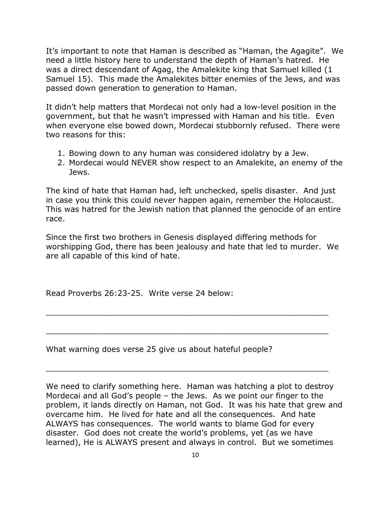It's important to note that Haman is described as "Haman, the Agagite". We need a little history here to understand the depth of Haman's hatred. He was a direct descendant of Agag, the Amalekite king that Samuel killed (1 Samuel 15). This made the Amalekites bitter enemies of the Jews, and was passed down generation to generation to Haman.

It didn't help matters that Mordecai not only had a low-level position in the government, but that he wasn't impressed with Haman and his title. Even when everyone else bowed down, Mordecai stubbornly refused. There were two reasons for this:

- 1. Bowing down to any human was considered idolatry by a Jew.
- 2. Mordecai would NEVER show respect to an Amalekite, an enemy of the Jews.

The kind of hate that Haman had, left unchecked, spells disaster. And just in case you think this could never happen again, remember the Holocaust. This was hatred for the Jewish nation that planned the genocide of an entire race.

Since the first two brothers in Genesis displayed differing methods for worshipping God, there has been jealousy and hate that led to murder. We are all capable of this kind of hate.

\_\_\_\_\_\_\_\_\_\_\_\_\_\_\_\_\_\_\_\_\_\_\_\_\_\_\_\_\_\_\_\_\_\_\_\_\_\_\_\_\_\_\_\_\_\_\_\_\_\_\_\_\_\_\_\_\_\_

\_\_\_\_\_\_\_\_\_\_\_\_\_\_\_\_\_\_\_\_\_\_\_\_\_\_\_\_\_\_\_\_\_\_\_\_\_\_\_\_\_\_\_\_\_\_\_\_\_\_\_\_\_\_\_\_\_\_

\_\_\_\_\_\_\_\_\_\_\_\_\_\_\_\_\_\_\_\_\_\_\_\_\_\_\_\_\_\_\_\_\_\_\_\_\_\_\_\_\_\_\_\_\_\_\_\_\_\_\_\_\_\_\_\_\_\_

Read Proverbs 26:23-25. Write verse 24 below:

What warning does verse 25 give us about hateful people?

We need to clarify something here. Haman was hatching a plot to destroy Mordecai and all God's people – the Jews. As we point our finger to the problem, it lands directly on Haman, not God. It was his hate that grew and overcame him. He lived for hate and all the consequences. And hate ALWAYS has consequences. The world wants to blame God for every disaster. God does not create the world's problems, yet (as we have learned), He is ALWAYS present and always in control. But we sometimes